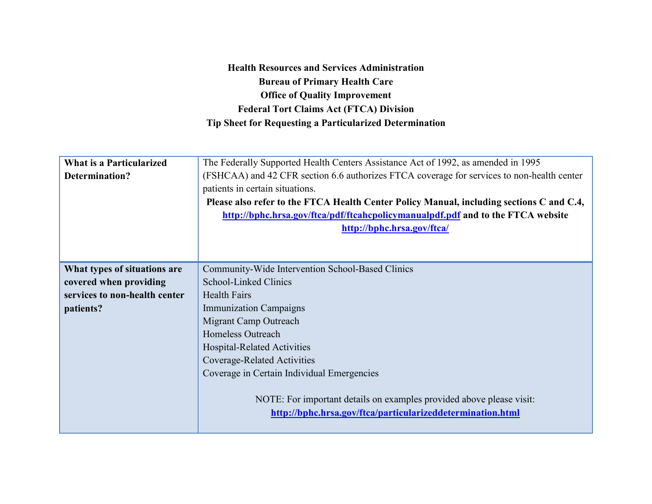**Health Resources and Services Administration Bureau of Primary Health Care Office of Quality Improvement Federal Tort Claims Act (FTCA) Division Tip Sheet for Requesting a Particularized Determination**

| <b>What is a Particularized</b> | The Federally Supported Health Centers Assistance Act of 1992, as amended in 1995          |
|---------------------------------|--------------------------------------------------------------------------------------------|
| <b>Determination?</b>           | (FSHCAA) and 42 CFR section 6.6 authorizes FTCA coverage for services to non-health center |
|                                 | patients in certain situations.                                                            |
|                                 | Please also refer to the FTCA Health Center Policy Manual, including sections C and C.4,   |
|                                 | http://bphc.hrsa.gov/ftca/pdf/ftcahcpolicymanualpdf.pdf and to the FTCA website            |
|                                 | http://bphc.hrsa.gov/ftca/                                                                 |
|                                 |                                                                                            |
|                                 |                                                                                            |
| What types of situations are    | Community-Wide Intervention School-Based Clinics                                           |
| covered when providing          | School-Linked Clinics                                                                      |
| services to non-health center   | <b>Health Fairs</b>                                                                        |
| patients?                       | <b>Immunization Campaigns</b>                                                              |
|                                 | Migrant Camp Outreach                                                                      |
|                                 | <b>Homeless Outreach</b>                                                                   |
|                                 | <b>Hospital-Related Activities</b>                                                         |
|                                 | Coverage-Related Activities                                                                |
|                                 | Coverage in Certain Individual Emergencies                                                 |
|                                 |                                                                                            |
|                                 | NOTE: For important details on examples provided above please visit:                       |
|                                 | http://bphc.hrsa.gov/ftca/particularizeddetermination.html                                 |
|                                 |                                                                                            |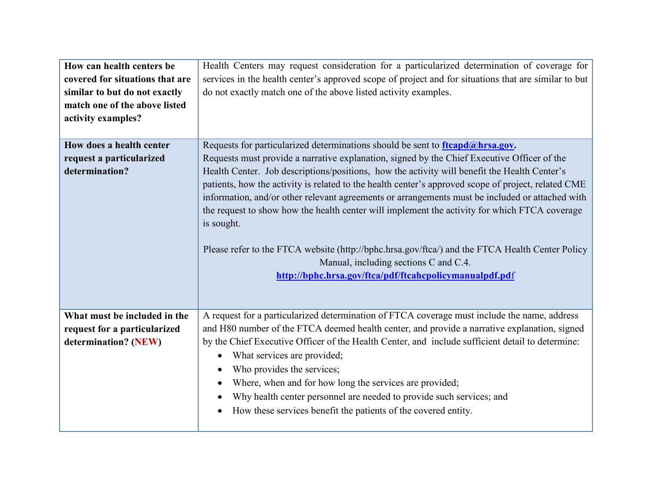| How can health centers be       | Health Centers may request consideration for a particularized determination of coverage for          |
|---------------------------------|------------------------------------------------------------------------------------------------------|
| covered for situations that are | services in the health center's approved scope of project and for situations that are similar to but |
| similar to but do not exactly   | do not exactly match one of the above listed activity examples.                                      |
| match one of the above listed   |                                                                                                      |
| activity examples?              |                                                                                                      |
|                                 |                                                                                                      |
| How does a health center        | Requests for particularized determinations should be sent to $f_1$ teapd $\omega$ hrsa.gov.          |
| request a particularized        | Requests must provide a narrative explanation, signed by the Chief Executive Officer of the          |
| determination?                  | Health Center. Job descriptions/positions, how the activity will benefit the Health Center's         |
|                                 | patients, how the activity is related to the health center's approved scope of project, related CME  |
|                                 | information, and/or other relevant agreements or arrangements must be included or attached with      |
|                                 | the request to show how the health center will implement the activity for which FTCA coverage        |
|                                 | is sought.                                                                                           |
|                                 |                                                                                                      |
|                                 | Please refer to the FTCA website (http://bphc.hrsa.gov/ftca/) and the FTCA Health Center Policy      |
|                                 | Manual, including sections C and C.4.                                                                |
|                                 | http://bphc.hrsa.gov/ftca/pdf/ftcahcpolicymanualpdf.pdf                                              |
|                                 |                                                                                                      |
|                                 |                                                                                                      |
| What must be included in the    | A request for a particularized determination of FTCA coverage must include the name, address         |
| request for a particularized    | and H80 number of the FTCA deemed health center, and provide a narrative explanation, signed         |
| determination? (NEW)            | by the Chief Executive Officer of the Health Center, and include sufficient detail to determine:     |
|                                 | What services are provided;<br>$\bullet$                                                             |
|                                 | Who provides the services;                                                                           |
|                                 | Where, when and for how long the services are provided;<br>٠                                         |
|                                 | Why health center personnel are needed to provide such services; and                                 |
|                                 | How these services benefit the patients of the covered entity.<br>$\bullet$                          |
|                                 |                                                                                                      |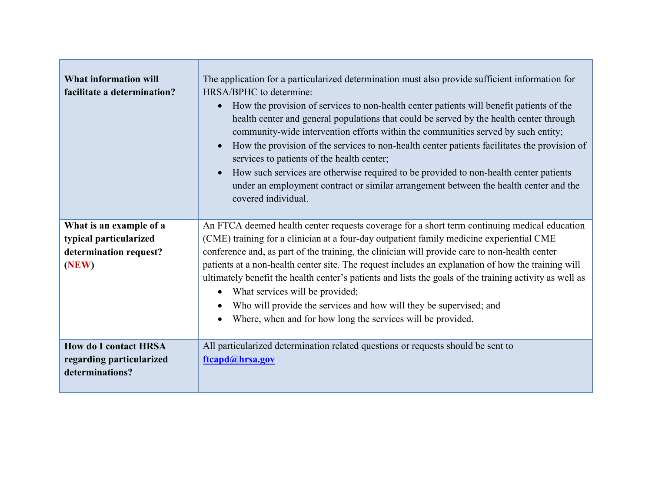| <b>What information will</b><br>facilitate a determination?                          | The application for a particularized determination must also provide sufficient information for<br>HRSA/BPHC to determine:<br>How the provision of services to non-health center patients will benefit patients of the<br>$\bullet$<br>health center and general populations that could be served by the health center through<br>community-wide intervention efforts within the communities served by such entity;<br>How the provision of the services to non-health center patients facilitates the provision of<br>$\bullet$<br>services to patients of the health center;<br>How such services are otherwise required to be provided to non-health center patients<br>$\bullet$<br>under an employment contract or similar arrangement between the health center and the<br>covered individual. |
|--------------------------------------------------------------------------------------|------------------------------------------------------------------------------------------------------------------------------------------------------------------------------------------------------------------------------------------------------------------------------------------------------------------------------------------------------------------------------------------------------------------------------------------------------------------------------------------------------------------------------------------------------------------------------------------------------------------------------------------------------------------------------------------------------------------------------------------------------------------------------------------------------|
| What is an example of a<br>typical particularized<br>determination request?<br>(NEW) | An FTCA deemed health center requests coverage for a short term continuing medical education<br>(CME) training for a clinician at a four-day outpatient family medicine experiential CME<br>conference and, as part of the training, the clinician will provide care to non-health center<br>patients at a non-health center site. The request includes an explanation of how the training will<br>ultimately benefit the health center's patients and lists the goals of the training activity as well as<br>What services will be provided;<br>$\bullet$<br>Who will provide the services and how will they be supervised; and<br>Where, when and for how long the services will be provided.                                                                                                      |
| <b>How do I contact HRSA</b><br>regarding particularized<br>determinations?          | All particularized determination related questions or requests should be sent to<br>ftcapd@hrsa.gov                                                                                                                                                                                                                                                                                                                                                                                                                                                                                                                                                                                                                                                                                                  |

<u>and the se</u>

Е